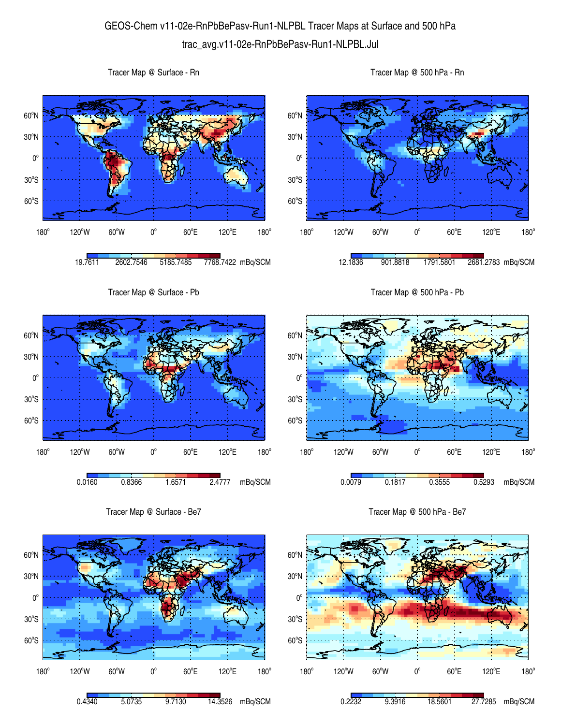## GEOS-Chem v11-02e-RnPbBePasv-Run1-NLPBL Tracer Maps at Surface and 500 hPa trac\_avg.v11-02e-RnPbBePasv-Run1-NLPBL.Jul



Tracer Map @ Surface - Be7



Tracer Map @ 500 hPa - Be7